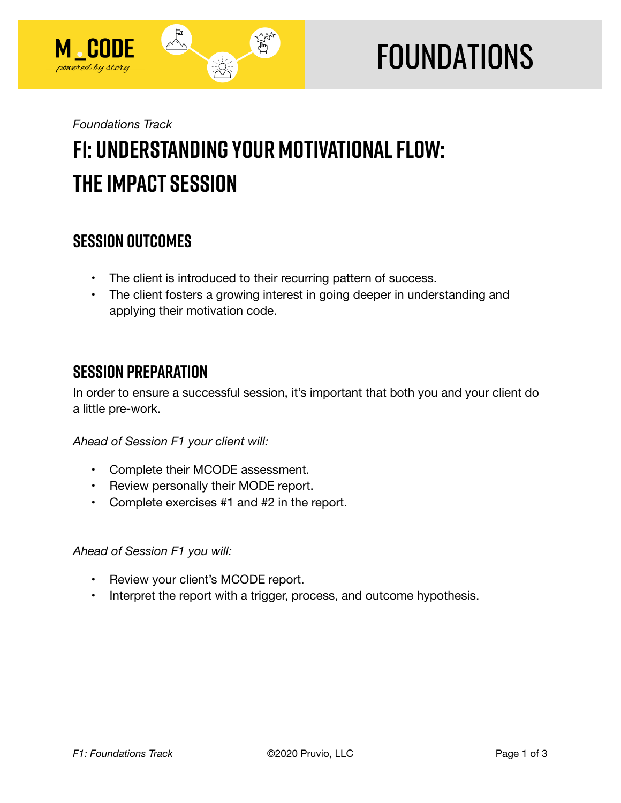

# **FOUNDATIONS**

## *Foundations Track*  **F1: Understanding Your Motivational Flow: The Impact Session**

## **SESSION OUTCOMES**

- The client is introduced to their recurring pattern of success.
- The client fosters a growing interest in going deeper in understanding and applying their motivation code.

## **SESSION PREPARATION**

In order to ensure a successful session, it's important that both you and your client do a little pre-work.

#### *Ahead of Session F1 your client will:*

- Complete their MCODE assessment.
- Review personally their MODE report.
- Complete exercises #1 and #2 in the report.

#### *Ahead of Session F1 you will:*

- Review your client's MCODE report.
- Interpret the report with a trigger, process, and outcome hypothesis.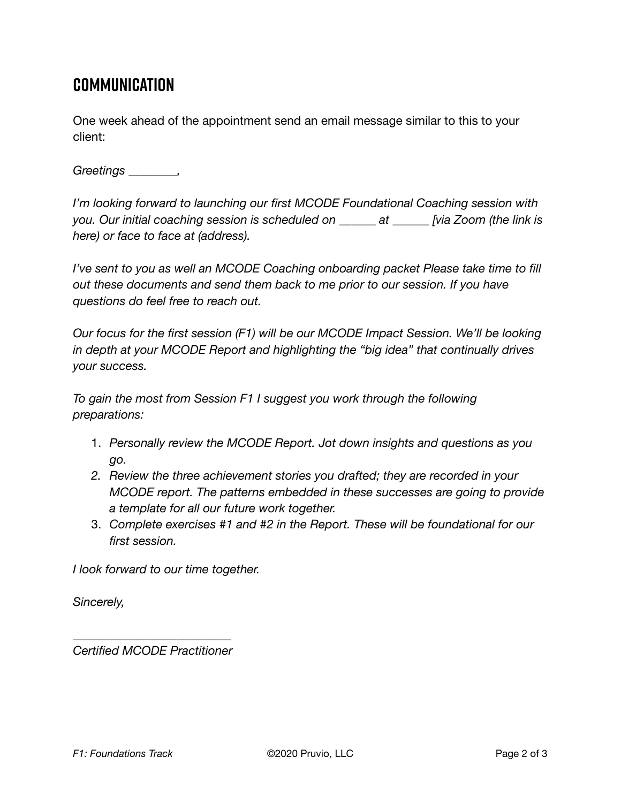## **Communication**

One week ahead of the appointment send an email message similar to this to your client:

*Greetings \_\_\_\_\_\_\_\_,* 

*I'm looking forward to launching our first MCODE Foundational Coaching session with you. Our initial coaching session is scheduled on \_\_\_\_\_\_ at \_\_\_\_\_\_ [via Zoom (the link is here) or face to face at (address).* 

*I've sent to you as well an MCODE Coaching onboarding packet Please take time to fill out these documents and send them back to me prior to our session. If you have questions do feel free to reach out.* 

*Our focus for the first session (F1) will be our MCODE Impact Session. We'll be looking in depth at your MCODE Report and highlighting the "big idea" that continually drives your success.* 

*To gain the most from Session F1 I suggest you work through the following preparations:*

- 1. *Personally review the MCODE Report. Jot down insights and questions as you go.*
- *2. Review the three achievement stories you drafted; they are recorded in your MCODE report. The patterns embedded in these successes are going to provide a template for all our future work together.*
- 3. *Complete exercises #1 and #2 in the Report. These will be foundational for our first session.*

*I look forward to our time together.* 

*Sincerely,* 

*\_\_\_\_\_\_\_\_\_\_\_\_\_\_\_\_\_\_\_\_\_\_\_\_\_\_ Certified MCODE Practitioner*